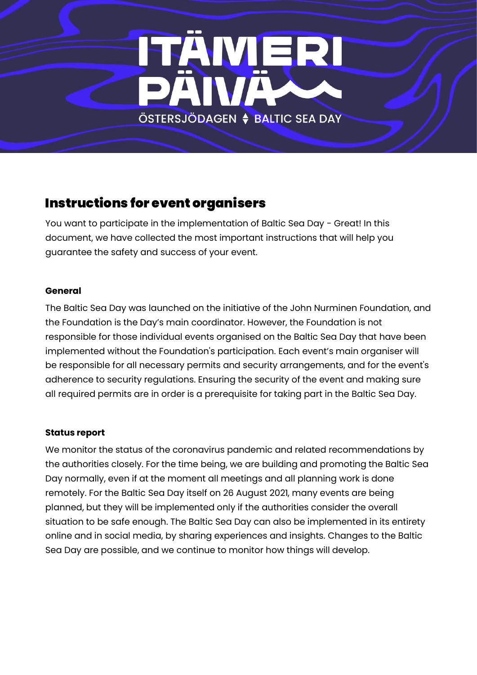

# Instructions for event organisers

You want to participate in the implementation of Baltic Sea Day - Great! In this document, we have collected the most important instructions that will help you guarantee the safety and success of your event.

#### **General**

The Baltic Sea Day was launched on the initiative of the John Nurminen Foundation, and the Foundation is the Day's main coordinator. However, the Foundation is not responsible for those individual events organised on the Baltic Sea Day that have been implemented without the Foundation's participation. Each event's main organiser will be responsible for all necessary permits and security arrangements, and for the event's adherence to security regulations. Ensuring the security of the event and making sure all required permits are in order is a prerequisite for taking part in the Baltic Sea Day.

#### **Status report**

We monitor the status of the coronavirus pandemic and related recommendations by the authorities closely. For the time being, we are building and promoting the Baltic Sea Day normally, even if at the moment all meetings and all planning work is done remotely. For the Baltic Sea Day itself on 26 August 2021, many events are being planned, but they will be implemented only if the authorities consider the overall situation to be safe enough. The Baltic Sea Day can also be implemented in its entirety online and in social media, by sharing experiences and insights. Changes to the Baltic Sea Day are possible, and we continue to monitor how things will develop.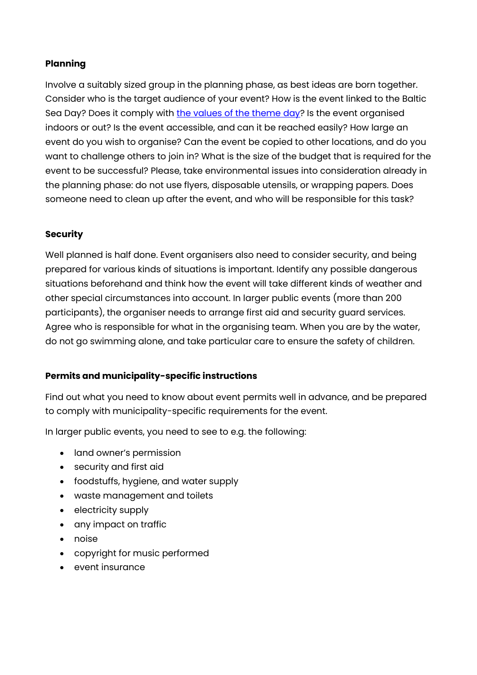# **Planning**

Involve a suitably sized group in the planning phase, as best ideas are born together. Consider who is the target audience of your event? How is the event linked to the Baltic Sea Day? Does it comply with [the values of the theme day?](https://itameripaiva.fi/en/for-partners/) Is the event organised indoors or out? Is the event accessible, and can it be reached easily? How large an event do you wish to organise? Can the event be copied to other locations, and do you want to challenge others to join in? What is the size of the budget that is required for the event to be successful? Please, take environmental issues into consideration already in the planning phase: do not use flyers, disposable utensils, or wrapping papers. Does someone need to clean up after the event, and who will be responsible for this task?

## **Security**

Well planned is half done. Event organisers also need to consider security, and being prepared for various kinds of situations is important. Identify any possible dangerous situations beforehand and think how the event will take different kinds of weather and other special circumstances into account. In larger public events (more than 200 participants), the organiser needs to arrange first aid and security guard services. Agree who is responsible for what in the organising team. When you are by the water, do not go swimming alone, and take particular care to ensure the safety of children.

#### **Permits and municipality-specific instructions**

Find out what you need to know about event permits well in advance, and be prepared to comply with municipality-specific requirements for the event.

In larger public events, you need to see to e.g. the following:

- land owner's permission
- security and first aid
- foodstuffs, hygiene, and water supply
- waste management and toilets
- electricity supply
- any impact on traffic
- noise
- copyright for music performed
- event insurance